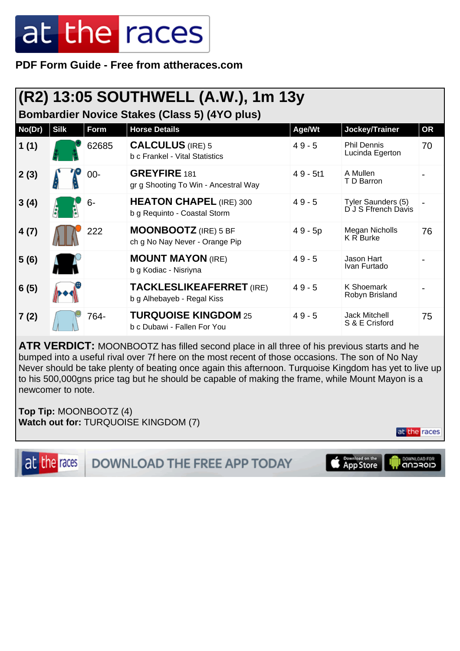**PDF Form Guide - Free from attheraces.com**

|        |             |             | (R2) 13:05 SOUTHWELL (A.W.), 1m 13y                            |            |                                           |    |
|--------|-------------|-------------|----------------------------------------------------------------|------------|-------------------------------------------|----|
|        |             |             | <b>Bombardier Novice Stakes (Class 5) (4YO plus)</b>           |            |                                           |    |
| No(Dr) | <b>Silk</b> | <b>Form</b> | <b>Horse Details</b>                                           | Age/Wt     | Jockey/Trainer                            | OR |
| 1(1)   |             | 62685       | <b>CALCULUS</b> (IRE) 5<br>b c Frankel - Vital Statistics      | $49 - 5$   | <b>Phil Dennis</b><br>Lucinda Egerton     | 70 |
| 2(3)   |             | $00 -$      | <b>GREYFIRE</b> 181<br>gr g Shooting To Win - Ancestral Way    | $49 - 5t1$ | A Mullen<br>T D Barron                    |    |
| 3(4)   |             | $6-$        | <b>HEATON CHAPEL (IRE) 300</b><br>b g Requinto - Coastal Storm | $49 - 5$   | Tyler Saunders (5)<br>D J S Ffrench Davis |    |
| 4(7)   |             | 222         | <b>MOONBOOTZ</b> (IRE) 5 BF<br>ch g No Nay Never - Orange Pip  | $49 - 5p$  | Megan Nicholls<br><b>K R Burke</b>        | 76 |
| 5(6)   |             |             | <b>MOUNT MAYON (IRE)</b><br>b g Kodiac - Nisriyna              | $49 - 5$   | Jason Hart<br>Ivan Furtado                |    |
| 6(5)   |             |             | <b>TACKLESLIKEAFERRET (IRE)</b><br>b g Alhebayeb - Regal Kiss  | $49 - 5$   | K Shoemark<br>Robyn Brisland              |    |

**ATR VERDICT:** MOONBOOTZ has filled second place in all three of his previous starts and he bumped into a useful rival over 7f here on the most recent of those occasions. The son of No Nay Never should be take plenty of beating once again this afternoon. Turquoise Kingdom has yet to live up to his 500,000gns price tag but he should be capable of making the frame, while Mount Mayon is a newcomer to note.

**Top Tip:** MOONBOOTZ (4) **Watch out for:** TURQUOISE KINGDOM (7)

**7 (2)** 764- **TURQUOISE KINGDOM** 25

b c Dubawi - Fallen For You

at the races

75

4 9 - 5 Jack Mitchell

S & E Crisford

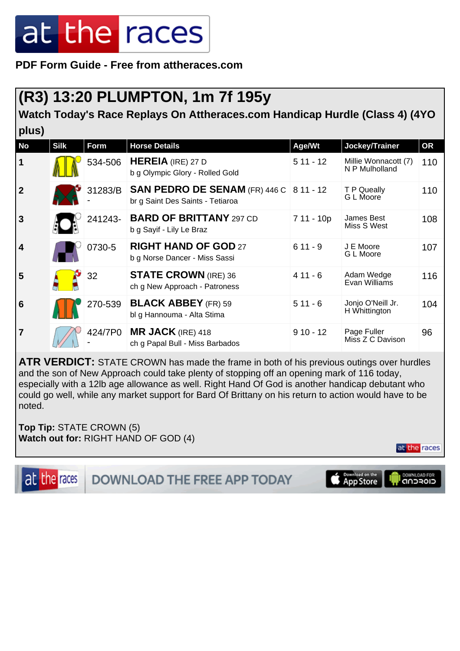**PDF Form Guide - Free from attheraces.com**

#### **(R3) 13:20 PLUMPTON, 1m 7f 195y**

**Watch Today's Race Replays On Attheraces.com Handicap Hurdle (Class 4) (4YO plus)**

| <b>No</b>               | <b>Silk</b> | Form    | <b>Horse Details</b>                                                               | Age/Wt     | Jockey/Trainer                         | <b>OR</b> |
|-------------------------|-------------|---------|------------------------------------------------------------------------------------|------------|----------------------------------------|-----------|
| 1                       |             | 534-506 | <b>HEREIA</b> (IRE) 27 D<br>b g Olympic Glory - Rolled Gold                        | $511 - 12$ | Millie Wonnacott (7)<br>N P Mulholland | 110       |
| $\overline{2}$          |             | 31283/B | <b>SAN PEDRO DE SENAM (FR) 446 C 8 11 - 12</b><br>br g Saint Des Saints - Tetiaroa |            | T P Queally<br>G L Moore               | 110       |
| $\overline{3}$          |             | 241243- | <b>BARD OF BRITTANY 297 CD</b><br>b g Sayif - Lily Le Braz                         | 7 11 - 10p | James Best<br>Miss S West              | 108       |
| $\overline{\mathbf{4}}$ |             | 0730-5  | <b>RIGHT HAND OF GOD 27</b><br>b g Norse Dancer - Miss Sassi                       | $611 - 9$  | J E Moore<br>G L Moore                 | 107       |
| 5                       |             | 32      | <b>STATE CROWN (IRE) 36</b><br>ch g New Approach - Patroness                       | $411 - 6$  | Adam Wedge<br>Evan Williams            | 116       |
| $6\phantom{1}6$         |             | 270-539 | <b>BLACK ABBEY</b> (FR) 59<br>bl g Hannouma - Alta Stima                           | $511 - 6$  | Jonjo O'Neill Jr.<br>H Whittington     | 104       |
| $\overline{7}$          |             | 424/7P0 | $MR$ JACK (IRE) 418<br>ch g Papal Bull - Miss Barbados                             | $910 - 12$ | Page Fuller<br>Miss Z C Davison        | 96        |

**ATR VERDICT:** STATE CROWN has made the frame in both of his previous outings over hurdles and the son of New Approach could take plenty of stopping off an opening mark of 116 today, especially with a 12lb age allowance as well. Right Hand Of God is another handicap debutant who could go well, while any market support for Bard Of Brittany on his return to action would have to be noted.

**Top Tip:** STATE CROWN (5) **Watch out for:** RIGHT HAND OF GOD (4)

at the races

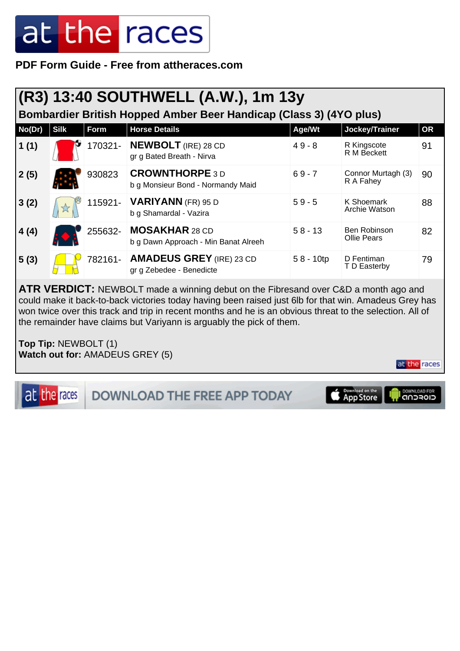#### **PDF Form Guide - Free from attheraces.com**

#### **(R3) 13:40 SOUTHWELL (A.W.), 1m 13y**

**Bombardier British Hopped Amber Beer Handicap (Class 3) (4YO plus)**

| No(Dr) | <b>Silk</b> | Form    | <b>Horse Details</b>                                          | Age/Wt       | Jockey/Trainer                     | <b>OR</b> |
|--------|-------------|---------|---------------------------------------------------------------|--------------|------------------------------------|-----------|
| 1(1)   |             | 170321- | <b>NEWBOLT</b> (IRE) 28 CD<br>gr g Bated Breath - Nirva       | $49 - 8$     | R Kingscote<br>R M Beckett         | 91        |
| 2(5)   |             | 930823  | <b>CROWNTHORPE 3 D</b><br>b g Monsieur Bond - Normandy Maid   | $69 - 7$     | Connor Murtagh (3)<br>R A Fahey    | 90        |
| 3(2)   | ☆           | 115921- | <b>VARIYANN</b> (FR) 95 D<br>b g Shamardal - Vazira           | $59 - 5$     | K Shoemark<br>Archie Watson        | 88        |
| 4(4)   |             | 255632- | <b>MOSAKHAR 28 CD</b><br>b g Dawn Approach - Min Banat Alreeh | $58 - 13$    | Ben Robinson<br><b>Ollie Pears</b> | 82        |
| 5(3)   |             | 782161- | <b>AMADEUS GREY (IRE) 23 CD</b><br>gr g Zebedee - Benedicte   | $58 - 10$ tp | D Fentiman<br>T D Easterby         | 79        |

**ATR VERDICT:** NEWBOLT made a winning debut on the Fibresand over C&D a month ago and could make it back-to-back victories today having been raised just 6lb for that win. Amadeus Grey has won twice over this track and trip in recent months and he is an obvious threat to the selection. All of the remainder have claims but Variyann is arguably the pick of them.

**Top Tip:** NEWBOLT (1) **Watch out for:** AMADEUS GREY (5)

at the races

at the races

DOWNLOAD THE FREE APP TODAY



DOWNLOAD FOR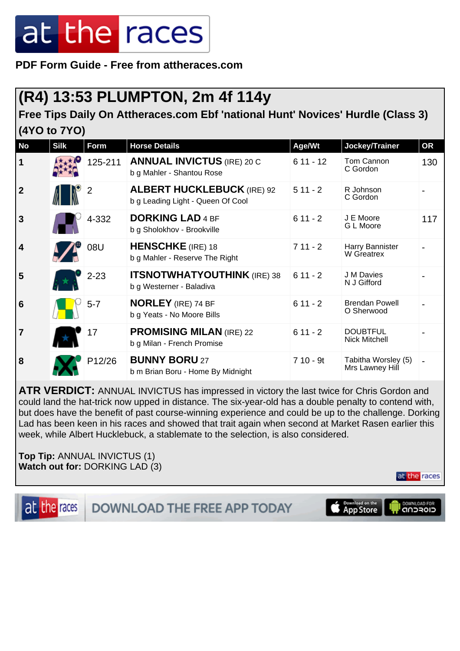**PDF Form Guide - Free from attheraces.com**

#### **(R4) 13:53 PLUMPTON, 2m 4f 114y**

**Free Tips Daily On Attheraces.com Ebf 'national Hunt' Novices' Hurdle (Class 3) (4YO to 7YO)**

| <b>No</b>               | <b>Silk</b> | <b>Form</b>    | <b>Horse Details</b>                                                   | Age/Wt     | Jockey/Trainer                          | <b>OR</b> |
|-------------------------|-------------|----------------|------------------------------------------------------------------------|------------|-----------------------------------------|-----------|
| $\mathbf 1$             |             | 125-211        | <b>ANNUAL INVICTUS (IRE) 20 C</b><br>b g Mahler - Shantou Rose         | $611 - 12$ | Tom Cannon<br>C Gordon                  | 130       |
| $\overline{2}$          |             | $\overline{2}$ | <b>ALBERT HUCKLEBUCK (IRE) 92</b><br>b g Leading Light - Queen Of Cool | $511 - 2$  | R Johnson<br>C Gordon                   |           |
| 3                       |             | 4-332          | <b>DORKING LAD 4 BF</b><br>b g Sholokhov - Brookville                  | $611 - 2$  | J E Moore<br>G L Moore                  | 117       |
| $\overline{\mathbf{4}}$ |             | 08U            | <b>HENSCHKE</b> (IRE) 18<br>b g Mahler - Reserve The Right             | $711 - 2$  | Harry Bannister<br>W Greatrex           |           |
| 5                       |             | $2 - 23$       | <b>ITSNOTWHATYOUTHINK (IRE) 38</b><br>b g Westerner - Baladiva         | $611 - 2$  | J M Davies<br>N J Gifford               |           |
| $6\phantom{1}6$         |             | $5 - 7$        | <b>NORLEY</b> (IRE) 74 BF<br>b g Yeats - No Moore Bills                | $611 - 2$  | <b>Brendan Powell</b><br>O Sherwood     |           |
| $\overline{7}$          |             | 17             | <b>PROMISING MILAN (IRE) 22</b><br>b g Milan - French Promise          | $611 - 2$  | <b>DOUBTFUL</b><br><b>Nick Mitchell</b> |           |
| 8                       |             | P12/26         | <b>BUNNY BORU 27</b><br>b m Brian Boru - Home By Midnight              | $710 - 9t$ | Tabitha Worsley (5)<br>Mrs Lawney Hill  |           |

**ATR VERDICT:** ANNUAL INVICTUS has impressed in victory the last twice for Chris Gordon and could land the hat-trick now upped in distance. The six-year-old has a double penalty to contend with, but does have the benefit of past course-winning experience and could be up to the challenge. Dorking Lad has been keen in his races and showed that trait again when second at Market Rasen earlier this week, while Albert Hucklebuck, a stablemate to the selection, is also considered.

**Top Tip:** ANNUAL INVICTUS (1) **Watch out for:** DORKING LAD (3)

at the races

at the races **DOWNLOAD THE FREE APP TODAY** 

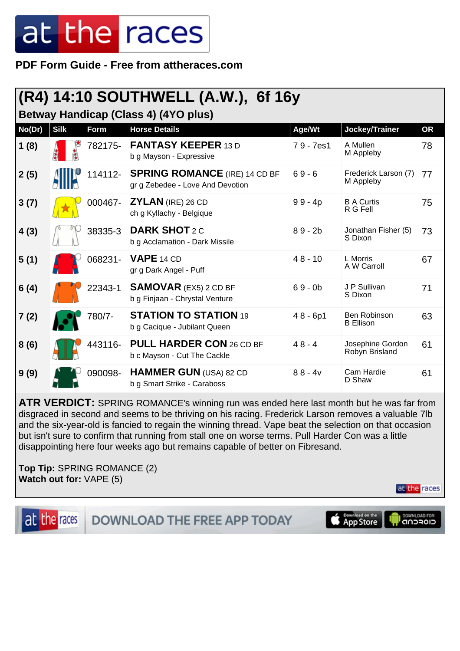**PDF Form Guide - Free from attheraces.com**

#### **(R4) 14:10 SOUTHWELL (A.W.), 6f 16y**

**Betway Handicap (Class 4) (4YO plus)**

| No(Dr) | <b>Silk</b> | Form    | <b>Horse Details</b>                                                     | Age/Wt     | Jockey/Trainer                     | OR |
|--------|-------------|---------|--------------------------------------------------------------------------|------------|------------------------------------|----|
| 1(8)   |             | 782175- | <b>FANTASY KEEPER 13 D</b><br>b g Mayson - Expressive                    | 79 - 7es1  | A Mullen<br>M Appleby              | 78 |
| 2(5)   |             | 114112- | <b>SPRING ROMANCE</b> (IRE) 14 CD BF<br>gr g Zebedee - Love And Devotion | $69 - 6$   | Frederick Larson (7)<br>M Appleby  | 77 |
| 3(7)   |             | 000467- | ZYLAN (IRE) 26 CD<br>ch g Kyllachy - Belgique                            | $99 - 4p$  | <b>B A Curtis</b><br>R G Fell      | 75 |
| 4(3)   |             | 38335-3 | <b>DARK SHOT 2 C</b><br>b g Acclamation - Dark Missile                   | $89 - 2b$  | Jonathan Fisher (5)<br>S Dixon     | 73 |
| 5(1)   |             | 068231- | <b>VAPE 14 CD</b><br>gr g Dark Angel - Puff                              | $48 - 10$  | L Morris<br>A W Carroll            | 67 |
| 6(4)   |             | 22343-1 | <b>SAMOVAR</b> (EX5) 2 CD BF<br>b g Finjaan - Chrystal Venture           | $69 - 0b$  | J P Sullivan<br>S Dixon            | 71 |
| 7(2)   |             | 780/7-  | <b>STATION TO STATION 19</b><br>b g Cacique - Jubilant Queen             | $48 - 6p1$ | Ben Robinson<br><b>B</b> Ellison   | 63 |
| 8(6)   |             | 443116- | PULL HARDER CON 26 CD BF<br>b c Mayson - Cut The Cackle                  | $48 - 4$   | Josephine Gordon<br>Robyn Brisland | 61 |
| 9(9)   |             | 090098- | HAMMER GUN (USA) 82 CD<br>b g Smart Strike - Caraboss                    | $88 - 4v$  | Cam Hardie<br>D Shaw               | 61 |

**ATR VERDICT:** SPRING ROMANCE's winning run was ended here last month but he was far from disgraced in second and seems to be thriving on his racing. Frederick Larson removes a valuable 7lb and the six-year-old is fancied to regain the winning thread. Vape beat the selection on that occasion but isn't sure to confirm that running from stall one on worse terms. Pull Harder Con was a little disappointing here four weeks ago but remains capable of better on Fibresand.

**Top Tip:** SPRING ROMANCE (2) **Watch out for:** VAPE (5)

at the races **DOWNLOAD THE FREE APP TODAY**  Download on the<br>App Store



at the races

DOWNLOAD FOR